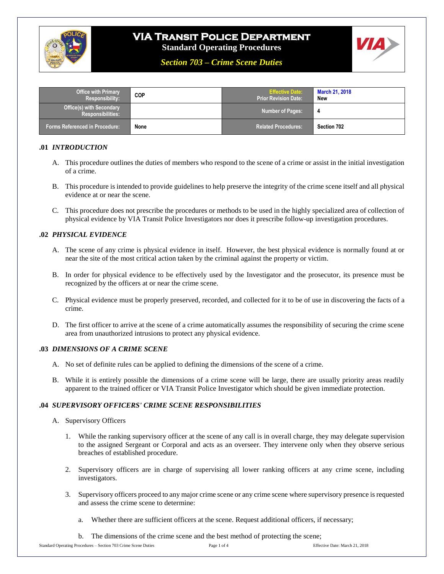

# **VIA Transit Police Department**

**Standard Operating Procedures**

*Section 703 – Crime Scene Duties*

| <b>Office with Primary</b><br>Responsibility:               | <b>COP</b> | <b>Effective Date:</b><br><b>Prior Revision Date:</b> ' | <b>March 21, 2018</b><br>New |
|-------------------------------------------------------------|------------|---------------------------------------------------------|------------------------------|
| <b>Office(s) with Secondary</b><br><b>Responsibilities:</b> |            | <b>Number of Pages:</b>                                 | -4                           |
| <b>Forms Referenced in Procedure:</b>                       | None       | <b>Related Procedures:</b>                              | Section 702                  |

## **.01** *INTRODUCTION*

- A. This procedure outlines the duties of members who respond to the scene of a crime or assist in the initial investigation of a crime.
- B. This procedure is intended to provide guidelines to help preserve the integrity of the crime scene itself and all physical evidence at or near the scene.
- C. This procedure does not prescribe the procedures or methods to be used in the highly specialized area of collection of physical evidence by VIA Transit Police Investigators nor does it prescribe follow-up investigation procedures.

## **.02** *PHYSICAL EVIDENCE*

- A. The scene of any crime is physical evidence in itself. However, the best physical evidence is normally found at or near the site of the most critical action taken by the criminal against the property or victim.
- B. In order for physical evidence to be effectively used by the Investigator and the prosecutor, its presence must be recognized by the officers at or near the crime scene.
- C. Physical evidence must be properly preserved, recorded, and collected for it to be of use in discovering the facts of a crime.
- D. The first officer to arrive at the scene of a crime automatically assumes the responsibility of securing the crime scene area from unauthorized intrusions to protect any physical evidence.

#### **.03** *DIMENSIONS OF A CRIME SCENE*

- A. No set of definite rules can be applied to defining the dimensions of the scene of a crime.
- B. While it is entirely possible the dimensions of a crime scene will be large, there are usually priority areas readily apparent to the trained officer or VIA Transit Police Investigator which should be given immediate protection.

# **.04** *SUPERVISORY OFFICERS' CRIME SCENE RESPONSIBILITIES*

- A. Supervisory Officers
	- 1. While the ranking supervisory officer at the scene of any call is in overall charge, they may delegate supervision to the assigned Sergeant or Corporal and acts as an overseer. They intervene only when they observe serious breaches of established procedure.
	- 2. Supervisory officers are in charge of supervising all lower ranking officers at any crime scene, including investigators.
	- 3. Supervisory officers proceed to any major crime scene or any crime scene where supervisory presence is requested and assess the crime scene to determine:
		- a. Whether there are sufficient officers at the scene. Request additional officers, if necessary;
		- b. The dimensions of the crime scene and the best method of protecting the scene;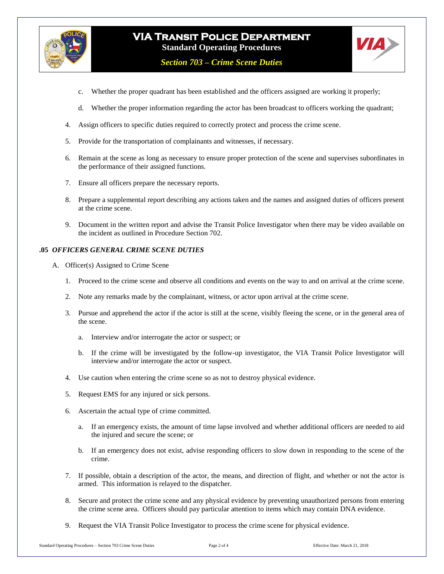

# **VIA Transit Police Department Standard Operating Procedures**

*Section 703 – Crime Scene Duties*



- c. Whether the proper quadrant has been established and the officers assigned are working it properly;
- d. Whether the proper information regarding the actor has been broadcast to officers working the quadrant;
- 4. Assign officers to specific duties required to correctly protect and process the crime scene.
- 5. Provide for the transportation of complainants and witnesses, if necessary.
- 6. Remain at the scene as long as necessary to ensure proper protection of the scene and supervises subordinates in the performance of their assigned functions.
- 7. Ensure all officers prepare the necessary reports.
- 8. Prepare a supplemental report describing any actions taken and the names and assigned duties of officers present at the crime scene.
- 9. Document in the written report and advise the Transit Police Investigator when there may be video available on the incident as outlined in Procedure Section 702.

## **.05** *OFFICERS GENERAL CRIME SCENE DUTIES*

- A. Officer(s) Assigned to Crime Scene
	- 1. Proceed to the crime scene and observe all conditions and events on the way to and on arrival at the crime scene.
	- 2. Note any remarks made by the complainant, witness, or actor upon arrival at the crime scene.
	- 3. Pursue and apprehend the actor if the actor is still at the scene, visibly fleeing the scene, or in the general area of the scene.
		- a. Interview and/or interrogate the actor or suspect; or
		- b. If the crime will be investigated by the follow-up investigator, the VIA Transit Police Investigator will interview and/or interrogate the actor or suspect.
	- 4. Use caution when entering the crime scene so as not to destroy physical evidence.
	- 5. Request EMS for any injured or sick persons.
	- 6. Ascertain the actual type of crime committed.
		- a. If an emergency exists, the amount of time lapse involved and whether additional officers are needed to aid the injured and secure the scene; or
		- b. If an emergency does not exist, advise responding officers to slow down in responding to the scene of the crime.
	- 7. If possible, obtain a description of the actor, the means, and direction of flight, and whether or not the actor is armed. This information is relayed to the dispatcher.
	- 8. Secure and protect the crime scene and any physical evidence by preventing unauthorized persons from entering the crime scene area. Officers should pay particular attention to items which may contain DNA evidence.
	- 9. Request the VIA Transit Police Investigator to process the crime scene for physical evidence.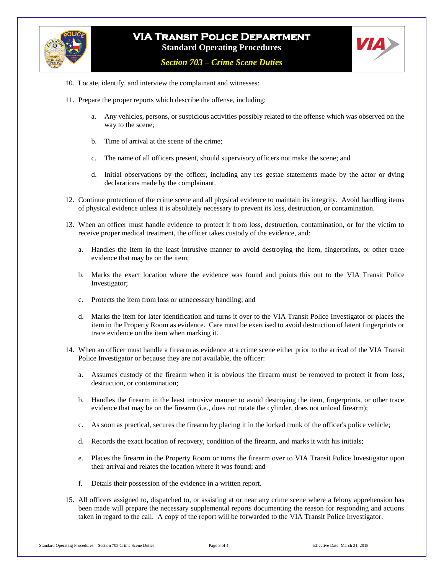

# **VIA Transit Police Department Standard Operating Procedures**

*Section 703 – Crime Scene Duties*

- 10. Locate, identify, and interview the complainant and witnesses:
- 11. Prepare the proper reports which describe the offense, including:
	- a. Any vehicles, persons, or suspicious activities possibly related to the offense which was observed on the way to the scene;
	- b. Time of arrival at the scene of the crime;
	- c. The name of all officers present, should supervisory officers not make the scene; and
	- d. Initial observations by the officer, including any res gestae statements made by the actor or dying declarations made by the complainant.
- 12. Continue protection of the crime scene and all physical evidence to maintain its integrity. Avoid handling items of physical evidence unless it is absolutely necessary to prevent its loss, destruction, or contamination.
- 13. When an officer must handle evidence to protect it from loss, destruction, contamination, or for the victim to receive proper medical treatment, the officer takes custody of the evidence, and:
	- a. Handles the item in the least intrusive manner to avoid destroying the item, fingerprints, or other trace evidence that may be on the item;
	- b. Marks the exact location where the evidence was found and points this out to the VIA Transit Police Investigator;
	- c. Protects the item from loss or unnecessary handling; and
	- d. Marks the item for later identification and turns it over to the VIA Transit Police Investigator or places the item in the Property Room as evidence. Care must be exercised to avoid destruction of latent fingerprints or trace evidence on the item when marking it.
- 14. When an officer must handle a firearm as evidence at a crime scene either prior to the arrival of the VIA Transit Police Investigator or because they are not available, the officer:
	- a. Assumes custody of the firearm when it is obvious the firearm must be removed to protect it from loss, destruction, or contamination;
	- b. Handles the firearm in the least intrusive manner to avoid destroying the item, fingerprints, or other trace evidence that may be on the firearm (i.e., does not rotate the cylinder, does not unload firearm);
	- c. As soon as practical, secures the firearm by placing it in the locked trunk of the officer's police vehicle;
	- d. Records the exact location of recovery, condition of the firearm, and marks it with his initials;
	- e. Places the firearm in the Property Room or turns the firearm over to VIA Transit Police Investigator upon their arrival and relates the location where it was found; and
	- f. Details their possession of the evidence in a written report.
- 15. All officers assigned to, dispatched to, or assisting at or near any crime scene where a felony apprehension has been made will prepare the necessary supplemental reports documenting the reason for responding and actions taken in regard to the call. A copy of the report will be forwarded to the VIA Transit Police Investigator.